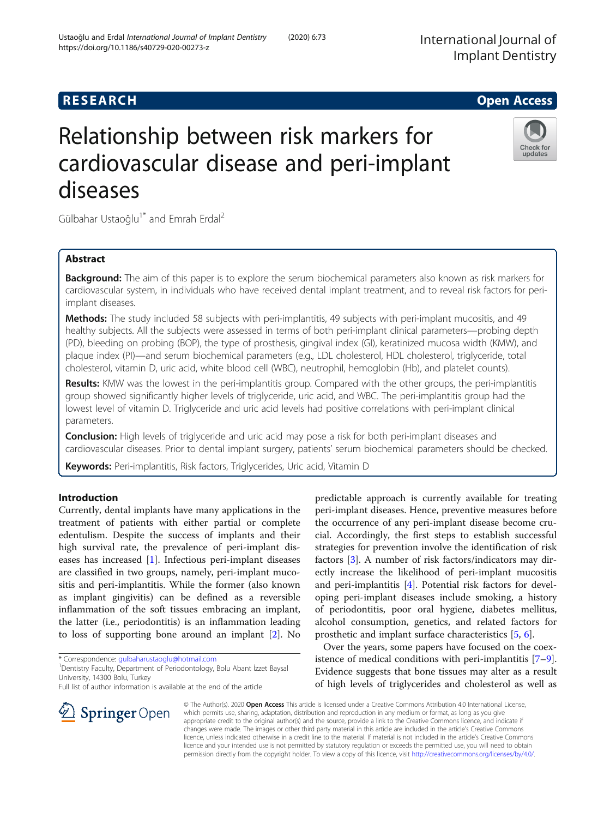## **RESEARCH CHE Open Access**

# Relationship between risk markers for cardiovascular disease and peri-implant diseases

Gülbahar Ustaoğlu<sup>1\*</sup> and Emrah Erdal<sup>2</sup>

## Abstract

**Background:** The aim of this paper is to explore the serum biochemical parameters also known as risk markers for cardiovascular system, in individuals who have received dental implant treatment, and to reveal risk factors for periimplant diseases.

Methods: The study included 58 subjects with peri-implantitis, 49 subjects with peri-implant mucositis, and 49 healthy subjects. All the subjects were assessed in terms of both peri-implant clinical parameters—probing depth (PD), bleeding on probing (BOP), the type of prosthesis, gingival index (GI), keratinized mucosa width (KMW), and plaque index (PI)—and serum biochemical parameters (e.g., LDL cholesterol, HDL cholesterol, triglyceride, total cholesterol, vitamin D, uric acid, white blood cell (WBC), neutrophil, hemoglobin (Hb), and platelet counts).

Results: KMW was the lowest in the peri-implantitis group. Compared with the other groups, the peri-implantitis group showed significantly higher levels of triglyceride, uric acid, and WBC. The peri-implantitis group had the lowest level of vitamin D. Triglyceride and uric acid levels had positive correlations with peri-implant clinical parameters.

**Conclusion:** High levels of triglyceride and uric acid may pose a risk for both peri-implant diseases and cardiovascular diseases. Prior to dental implant surgery, patients' serum biochemical parameters should be checked.

Keywords: Peri-implantitis, Risk factors, Triglycerides, Uric acid, Vitamin D

## Introduction

Currently, dental implants have many applications in the treatment of patients with either partial or complete edentulism. Despite the success of implants and their high survival rate, the prevalence of peri-implant diseases has increased [[1](#page-5-0)]. Infectious peri-implant diseases are classified in two groups, namely, peri-implant mucositis and peri-implantitis. While the former (also known as implant gingivitis) can be defined as a reversible inflammation of the soft tissues embracing an implant, the latter (i.e., periodontitis) is an inflammation leading to loss of supporting bone around an implant [\[2](#page-5-0)]. No

\* Correspondence: [gulbaharustaoglu@hotmail.com](mailto:gulbaharustaoglu@hotmail.com) <sup>1</sup>

Full list of author information is available at the end of the article

predictable approach is currently available for treating peri-implant diseases. Hence, preventive measures before the occurrence of any peri-implant disease become crucial. Accordingly, the first steps to establish successful strategies for prevention involve the identification of risk factors [[3\]](#page-5-0). A number of risk factors/indicators may directly increase the likelihood of peri-implant mucositis and peri-implantitis [[4\]](#page-5-0). Potential risk factors for developing peri-implant diseases include smoking, a history of periodontitis, poor oral hygiene, diabetes mellitus, alcohol consumption, genetics, and related factors for prosthetic and implant surface characteristics [[5,](#page-5-0) [6\]](#page-5-0).

Over the years, some papers have focused on the coexistence of medical conditions with peri-implantitis [\[7](#page-5-0)–[9](#page-5-0)]. Evidence suggests that bone tissues may alter as a result of high levels of triglycerides and cholesterol as well as

© The Author(s). 2020 Open Access This article is licensed under a Creative Commons Attribution 4.0 International License, which permits use, sharing, adaptation, distribution and reproduction in any medium or format, as long as you give appropriate credit to the original author(s) and the source, provide a link to the Creative Commons licence, and indicate if changes were made. The images or other third party material in this article are included in the article's Creative Commons licence, unless indicated otherwise in a credit line to the material. If material is not included in the article's Creative Commons licence and your intended use is not permitted by statutory regulation or exceeds the permitted use, you will need to obtain permission directly from the copyright holder. To view a copy of this licence, visit <http://creativecommons.org/licenses/by/4.0/>.







<sup>&</sup>lt;sup>1</sup> Dentistry Faculty, Department of Periodontology, Bolu Abant İzzet Baysal University, 14300 Bolu, Turkey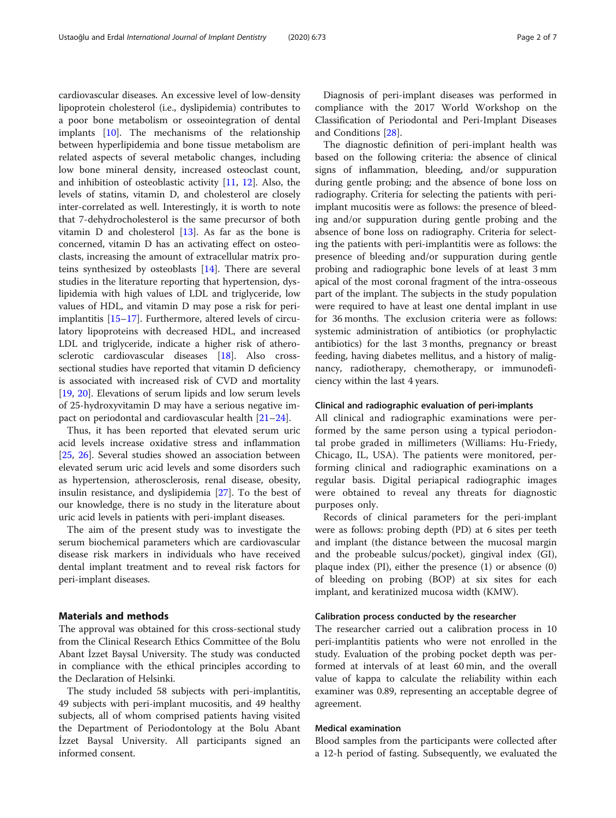cardiovascular diseases. An excessive level of low-density lipoprotein cholesterol (i.e., dyslipidemia) contributes to a poor bone metabolism or osseointegration of dental implants [[10](#page-5-0)]. The mechanisms of the relationship between hyperlipidemia and bone tissue metabolism are related aspects of several metabolic changes, including low bone mineral density, increased osteoclast count, and inhibition of osteoblastic activity [\[11](#page-5-0), [12](#page-5-0)]. Also, the levels of statins, vitamin D, and cholesterol are closely inter-correlated as well. Interestingly, it is worth to note that 7-dehydrocholesterol is the same precursor of both vitamin  $D$  and cholesterol  $[13]$  $[13]$ . As far as the bone is concerned, vitamin D has an activating effect on osteoclasts, increasing the amount of extracellular matrix proteins synthesized by osteoblasts [[14](#page-5-0)]. There are several studies in the literature reporting that hypertension, dyslipidemia with high values of LDL and triglyceride, low values of HDL, and vitamin D may pose a risk for periimplantitis [[15](#page-5-0)–[17](#page-5-0)]. Furthermore, altered levels of circulatory lipoproteins with decreased HDL, and increased LDL and triglyceride, indicate a higher risk of atherosclerotic cardiovascular diseases [\[18](#page-5-0)]. Also crosssectional studies have reported that vitamin D deficiency is associated with increased risk of CVD and mortality [[19,](#page-5-0) [20\]](#page-5-0). Elevations of serum lipids and low serum levels of 25-hydroxyvitamin D may have a serious negative impact on periodontal and cardiovascular health [[21](#page-5-0)–[24](#page-5-0)].

Thus, it has been reported that elevated serum uric acid levels increase oxidative stress and inflammation [[25,](#page-5-0) [26\]](#page-5-0). Several studies showed an association between elevated serum uric acid levels and some disorders such as hypertension, atherosclerosis, renal disease, obesity, insulin resistance, and dyslipidemia [\[27\]](#page-5-0). To the best of our knowledge, there is no study in the literature about uric acid levels in patients with peri-implant diseases.

The aim of the present study was to investigate the serum biochemical parameters which are cardiovascular disease risk markers in individuals who have received dental implant treatment and to reveal risk factors for peri-implant diseases.

## Materials and methods

The approval was obtained for this cross-sectional study from the Clinical Research Ethics Committee of the Bolu Abant İzzet Baysal University. The study was conducted in compliance with the ethical principles according to the Declaration of Helsinki.

The study included 58 subjects with peri-implantitis, 49 subjects with peri-implant mucositis, and 49 healthy subjects, all of whom comprised patients having visited the Department of Periodontology at the Bolu Abant İzzet Baysal University. All participants signed an informed consent.

Diagnosis of peri-implant diseases was performed in compliance with the 2017 World Workshop on the Classification of Periodontal and Peri-Implant Diseases and Conditions [[28\]](#page-5-0).

The diagnostic definition of peri-implant health was based on the following criteria: the absence of clinical signs of inflammation, bleeding, and/or suppuration during gentle probing; and the absence of bone loss on radiography. Criteria for selecting the patients with periimplant mucositis were as follows: the presence of bleeding and/or suppuration during gentle probing and the absence of bone loss on radiography. Criteria for selecting the patients with peri-implantitis were as follows: the presence of bleeding and/or suppuration during gentle probing and radiographic bone levels of at least 3 mm apical of the most coronal fragment of the intra-osseous part of the implant. The subjects in the study population were required to have at least one dental implant in use for 36 months. The exclusion criteria were as follows: systemic administration of antibiotics (or prophylactic antibiotics) for the last 3 months, pregnancy or breast feeding, having diabetes mellitus, and a history of malignancy, radiotherapy, chemotherapy, or immunodeficiency within the last 4 years.

#### Clinical and radiographic evaluation of peri-implants

All clinical and radiographic examinations were performed by the same person using a typical periodontal probe graded in millimeters (Williams: Hu-Friedy, Chicago, IL, USA). The patients were monitored, performing clinical and radiographic examinations on a regular basis. Digital periapical radiographic images were obtained to reveal any threats for diagnostic purposes only.

Records of clinical parameters for the peri-implant were as follows: probing depth (PD) at 6 sites per teeth and implant (the distance between the mucosal margin and the probeable sulcus/pocket), gingival index (GI), plaque index (PI), either the presence (1) or absence (0) of bleeding on probing (BOP) at six sites for each implant, and keratinized mucosa width (KMW).

#### Calibration process conducted by the researcher

The researcher carried out a calibration process in 10 peri-implantitis patients who were not enrolled in the study. Evaluation of the probing pocket depth was performed at intervals of at least 60 min, and the overall value of kappa to calculate the reliability within each examiner was 0.89, representing an acceptable degree of agreement.

### Medical examination

Blood samples from the participants were collected after a 12-h period of fasting. Subsequently, we evaluated the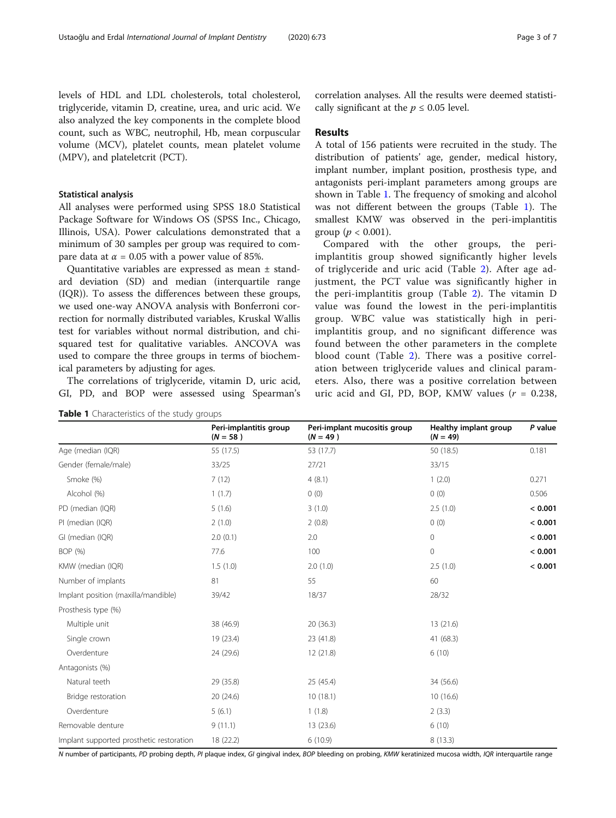levels of HDL and LDL cholesterols, total cholesterol, triglyceride, vitamin D, creatine, urea, and uric acid. We also analyzed the key components in the complete blood count, such as WBC, neutrophil, Hb, mean corpuscular volume (MCV), platelet counts, mean platelet volume (MPV), and plateletcrit (PCT).

#### Statistical analysis

All analyses were performed using SPSS 18.0 Statistical Package Software for Windows OS (SPSS Inc., Chicago, Illinois, USA). Power calculations demonstrated that a minimum of 30 samples per group was required to compare data at  $\alpha$  = 0.05 with a power value of 85%.

Quantitative variables are expressed as mean ± standard deviation (SD) and median (interquartile range (IQR)). To assess the differences between these groups, we used one-way ANOVA analysis with Bonferroni correction for normally distributed variables, Kruskal Wallis test for variables without normal distribution, and chisquared test for qualitative variables. ANCOVA was used to compare the three groups in terms of biochemical parameters by adjusting for ages.

The correlations of triglyceride, vitamin D, uric acid, GI, PD, and BOP were assessed using Spearman's

|                                          | Peri-implantitis group<br>$(N = 58)$ | Peri-implant mucositis group<br>$(N = 49)$ | Healthy implant group<br>$(N = 49)$ | P value |
|------------------------------------------|--------------------------------------|--------------------------------------------|-------------------------------------|---------|
| Age (median (IQR)                        | 55 (17.5)                            | 53 (17.7)                                  | 50 (18.5)                           | 0.181   |
| Gender (female/male)                     | 33/25                                | 27/21                                      | 33/15                               |         |
| Smoke (%)                                | 7(12)                                | 4(8.1)                                     | 1(2.0)                              | 0.271   |
| Alcohol (%)                              | 1(1.7)                               | 0(0)                                       | 0(0)                                | 0.506   |
| PD (median (IQR)                         | 5(1.6)                               | 3(1.0)                                     | 2.5(1.0)                            | < 0.001 |
| PI (median (IQR)                         | 2(1.0)                               | 2(0.8)                                     | 0(0)                                | < 0.001 |
| GI (median (IQR)                         | 2.0(0.1)                             | 2.0                                        | 0                                   | < 0.001 |
| BOP (%)                                  | 77.6                                 | 100                                        | 0                                   | < 0.001 |
| KMW (median (IQR)                        | 1.5(1.0)                             | 2.0(1.0)                                   | 2.5(1.0)                            | < 0.001 |
| Number of implants                       | 81                                   | 55                                         | 60                                  |         |
| Implant position (maxilla/mandible)      | 39/42                                | 18/37                                      | 28/32                               |         |
| Prosthesis type (%)                      |                                      |                                            |                                     |         |
| Multiple unit                            | 38 (46.9)                            | 20 (36.3)                                  | 13 (21.6)                           |         |
| Single crown                             | 19 (23.4)                            | 23 (41.8)                                  | 41 (68.3)                           |         |
| Overdenture                              | 24 (29.6)                            | 12 (21.8)                                  | 6(10)                               |         |
| Antagonists (%)                          |                                      |                                            |                                     |         |
| Natural teeth                            | 29 (35.8)                            | 25 (45.4)                                  | 34 (56.6)                           |         |
| Bridge restoration                       | 20 (24.6)                            | 10(18.1)                                   | 10(16.6)                            |         |
| Overdenture                              | 5(6.1)                               | 1(1.8)                                     | 2(3.3)                              |         |
| Removable denture                        | 9(11.1)                              | 13 (23.6)                                  | 6(10)                               |         |
| Implant supported prosthetic restoration | 18 (22.2)                            | 6(10.9)                                    | 8(13.3)                             |         |

**Table 1** Characteristics of the study groups

correlation analyses. All the results were deemed statistically significant at the  $p \leq 0.05$  level.

#### Results

A total of 156 patients were recruited in the study. The distribution of patients' age, gender, medical history, implant number, implant position, prosthesis type, and antagonists peri-implant parameters among groups are shown in Table 1. The frequency of smoking and alcohol was not different between the groups (Table 1). The smallest KMW was observed in the peri-implantitis group ( $p < 0.001$ ).

Compared with the other groups, the periimplantitis group showed significantly higher levels of triglyceride and uric acid (Table [2\)](#page-3-0). After age adjustment, the PCT value was significantly higher in the peri-implantitis group (Table [2\)](#page-3-0). The vitamin D value was found the lowest in the peri-implantitis group. WBC value was statistically high in periimplantitis group, and no significant difference was found between the other parameters in the complete blood count (Table [2\)](#page-3-0). There was a positive correlation between triglyceride values and clinical parameters. Also, there was a positive correlation between uric acid and GI, PD, BOP, KMW values  $(r = 0.238,$ 

N number of participants, PD probing depth, PI plaque index, GI gingival index, BOP bleeding on probing, KMW keratinized mucosa width, IQR interquartile range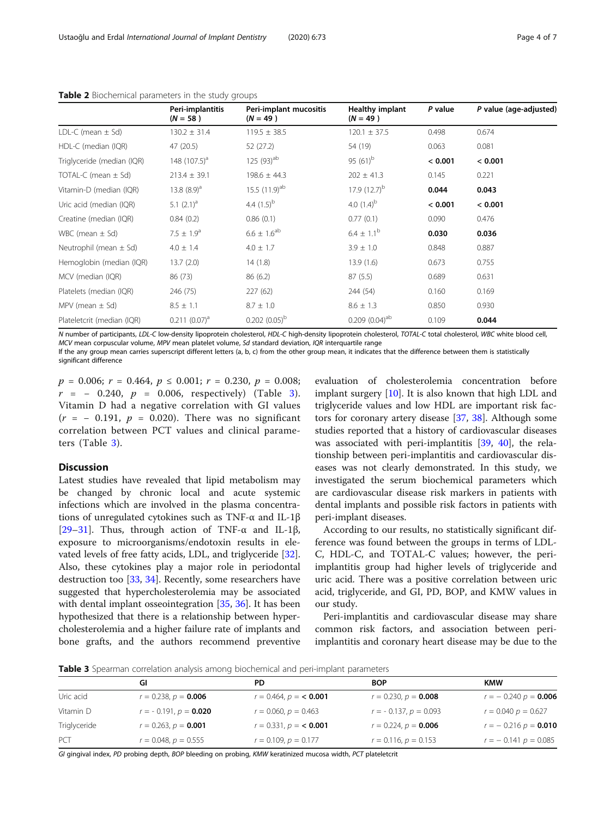|                            | Peri-implantitis<br>$(N = 58)$ | Peri-implant mucositis<br>$(N = 49)$ | <b>Healthy implant</b><br>$(N = 49)$ | P value | P value (age-adjusted) |
|----------------------------|--------------------------------|--------------------------------------|--------------------------------------|---------|------------------------|
| LDL-C (mean $\pm$ Sd)      | $130.2 \pm 31.4$               | $119.5 \pm 38.5$                     | $120.1 \pm 37.5$                     | 0.498   | 0.674                  |
| HDL-C (median (IQR)        | 47 (20.5)                      | 52 (27.2)                            | 54 (19)                              | 0.063   | 0.081                  |
| Triglyceride (median (IQR) | 148 $(107.5)^a$                | 125 $(93)$ <sup>ab</sup>             | 95 $(61)^b$                          | < 0.001 | < 0.001                |
| TOTAL-C (mean $\pm$ Sd)    | $213.4 \pm 39.1$               | $198.6 \pm 44.3$                     | $202 \pm 41.3$                       | 0.145   | 0.221                  |
| Vitamin-D (median (IQR)    | 13.8 $(8.9)^a$                 | 15.5 $(11.9)$ <sup>ab</sup>          | 17.9 $(12.7)^{b}$                    | 0.044   | 0.043                  |
| Uric acid (median (IQR)    | 5.1 $(2.1)^a$                  | 4.4 $(1.5)^{b}$                      | 4.0 $(1.4)^b$                        | < 0.001 | < 0.001                |
| Creatine (median (IQR)     | 0.84(0.2)                      | 0.86(0.1)                            | 0.77(0.1)                            | 0.090   | 0.476                  |
| WBC (mean $\pm$ Sd)        | $7.5 \pm 1.9^a$                | $6.6 \pm 1.6^{\rm ab}$               | $6.4 \pm 1.1^b$                      | 0.030   | 0.036                  |
| Neutrophil (mean $\pm$ Sd) | $4.0 \pm 1.4$                  | $4.0 \pm 1.7$                        | $3.9 \pm 1.0$                        | 0.848   | 0.887                  |
| Hemoglobin (median (IQR)   | 13.7(2.0)                      | 14(1.8)                              | 13.9(1.6)                            | 0.673   | 0.755                  |
| MCV (median (IQR)          | 86 (73)                        | 86(6.2)                              | 87(5.5)                              | 0.689   | 0.631                  |
| Platelets (median (IQR)    | 246 (75)                       | 227 (62)                             | 244 (54)                             | 0.160   | 0.169                  |
| MPV (mean $\pm$ Sd)        | $8.5 \pm 1.1$                  | $8.7 \pm 1.0$                        | $8.6 \pm 1.3$                        | 0.850   | 0.930                  |
| Plateletcrit (median (IQR) | $0.211 (0.07)^a$               | $0.202(0.05)^{b}$                    | $0.209$ $(0.04)^{ab}$                | 0.109   | 0.044                  |

#### <span id="page-3-0"></span>Table 2 Biochemical parameters in the study groups

N number of participants, LDL-C low-density lipoprotein cholesterol, HDL-C high-density lipoprotein cholesterol, TOTAL-C total cholesterol, WBC white blood cell, MCV mean corpuscular volume, MPV mean platelet volume, Sd standard deviation, IQR interquartile range

If the any group mean carries superscript different letters (a, b, c) from the other group mean, it indicates that the difference between them is statistically significant difference

 $p = 0.006$ ;  $r = 0.464$ ,  $p \le 0.001$ ;  $r = 0.230$ ,  $p = 0.008$ ;  $r = -0.240, p = 0.006, respectively$  (Table 3). Vitamin D had a negative correlation with GI values  $(r = -0.191, p = 0.020)$ . There was no significant correlation between PCT values and clinical parameters (Table 3).

## Discussion

Latest studies have revealed that lipid metabolism may be changed by chronic local and acute systemic infections which are involved in the plasma concentrations of unregulated cytokines such as TNF-α and IL-1β [ $29-31$  $29-31$  $29-31$ ]. Thus, through action of TNF- $\alpha$  and IL-1 $\beta$ , exposure to microorganisms/endotoxin results in elevated levels of free fatty acids, LDL, and triglyceride [\[32](#page-5-0)]. Also, these cytokines play a major role in periodontal destruction too [[33](#page-5-0), [34](#page-5-0)]. Recently, some researchers have suggested that hypercholesterolemia may be associated with dental implant osseointegration [[35,](#page-5-0) [36](#page-5-0)]. It has been hypothesized that there is a relationship between hypercholesterolemia and a higher failure rate of implants and bone grafts, and the authors recommend preventive

evaluation of cholesterolemia concentration before implant surgery [\[10](#page-5-0)]. It is also known that high LDL and triglyceride values and low HDL are important risk fac-tors for coronary artery disease [\[37,](#page-5-0) [38](#page-5-0)]. Although some studies reported that a history of cardiovascular diseases was associated with peri-implantitis [[39,](#page-6-0) [40\]](#page-6-0), the relationship between peri-implantitis and cardiovascular diseases was not clearly demonstrated. In this study, we investigated the serum biochemical parameters which are cardiovascular disease risk markers in patients with dental implants and possible risk factors in patients with peri-implant diseases.

According to our results, no statistically significant difference was found between the groups in terms of LDL-C, HDL-C, and TOTAL-C values; however, the periimplantitis group had higher levels of triglyceride and uric acid. There was a positive correlation between uric acid, triglyceride, and GI, PD, BOP, and KMW values in our study.

Peri-implantitis and cardiovascular disease may share common risk factors, and association between periimplantitis and coronary heart disease may be due to the

Table 3 Spearman correlation analysis among biochemical and peri-implant parameters

|              | GI                        | PD                        | <b>BOP</b>                | <b>KMW</b>             |
|--------------|---------------------------|---------------------------|---------------------------|------------------------|
| Uric acid    | $r = 0.238$ , $p = 0.006$ | $r = 0.464$ , $p = 0.001$ | $r = 0.230, p = 0.008$    | $r = -0.240 p = 0.006$ |
| Vitamin D    | $r = -0.191, p = 0.020$   | $r = 0.060, p = 0.463$    | $r = -0.137, p = 0.093$   | $r = 0.040 p = 0.627$  |
| Triglyceride | $r = 0.263$ , $p = 0.001$ | $r = 0.331, p = 0.001$    | $r = 0.224$ , $p = 0.006$ | $r = -0.216 p = 0.010$ |
| PCT          | $r = 0.048$ , $p = 0.555$ | $r = 0.109$ , $p = 0.177$ | $r = 0.116$ , $p = 0.153$ | $r = -0.141 p = 0.085$ |

GI gingival index, PD probing depth, BOP bleeding on probing, KMW keratinized mucosa width, PCT plateletcrit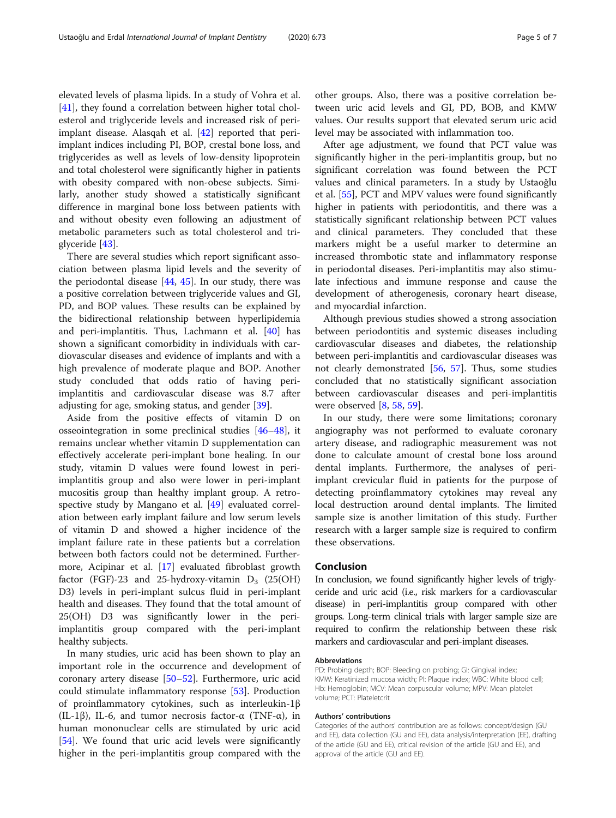elevated levels of plasma lipids. In a study of Vohra et al. [[41\]](#page-6-0), they found a correlation between higher total cholesterol and triglyceride levels and increased risk of periimplant disease. Alasqah et al. [[42\]](#page-6-0) reported that periimplant indices including PI, BOP, crestal bone loss, and triglycerides as well as levels of low-density lipoprotein and total cholesterol were significantly higher in patients with obesity compared with non-obese subjects. Similarly, another study showed a statistically significant difference in marginal bone loss between patients with and without obesity even following an adjustment of metabolic parameters such as total cholesterol and triglyceride [\[43\]](#page-6-0).

There are several studies which report significant association between plasma lipid levels and the severity of the periodontal disease [[44,](#page-6-0) [45](#page-6-0)]. In our study, there was a positive correlation between triglyceride values and GI, PD, and BOP values. These results can be explained by the bidirectional relationship between hyperlipidemia and peri-implantitis. Thus, Lachmann et al. [\[40\]](#page-6-0) has shown a significant comorbidity in individuals with cardiovascular diseases and evidence of implants and with a high prevalence of moderate plaque and BOP. Another study concluded that odds ratio of having periimplantitis and cardiovascular disease was 8.7 after adjusting for age, smoking status, and gender [\[39\]](#page-6-0).

Aside from the positive effects of vitamin D on osseointegration in some preclinical studies [\[46](#page-6-0)–[48\]](#page-6-0), it remains unclear whether vitamin D supplementation can effectively accelerate peri-implant bone healing. In our study, vitamin D values were found lowest in periimplantitis group and also were lower in peri-implant mucositis group than healthy implant group. A retrospective study by Mangano et al. [[49](#page-6-0)] evaluated correlation between early implant failure and low serum levels of vitamin D and showed a higher incidence of the implant failure rate in these patients but a correlation between both factors could not be determined. Furthermore, Acipinar et al. [\[17](#page-5-0)] evaluated fibroblast growth factor (FGF)-23 and 25-hydroxy-vitamin  $D_3$  (25(OH) D3) levels in peri-implant sulcus fluid in peri-implant health and diseases. They found that the total amount of 25(OH) D3 was significantly lower in the periimplantitis group compared with the peri-implant healthy subjects.

In many studies, uric acid has been shown to play an important role in the occurrence and development of coronary artery disease [[50](#page-6-0)–[52](#page-6-0)]. Furthermore, uric acid could stimulate inflammatory response [\[53\]](#page-6-0). Production of proinflammatory cytokines, such as interleukin-1β (IL-1β), IL-6, and tumor necrosis factor- $\alpha$  (TNF- $\alpha$ ), in human mononuclear cells are stimulated by uric acid [[54\]](#page-6-0). We found that uric acid levels were significantly higher in the peri-implantitis group compared with the

other groups. Also, there was a positive correlation between uric acid levels and GI, PD, BOB, and KMW values. Our results support that elevated serum uric acid level may be associated with inflammation too.

After age adjustment, we found that PCT value was significantly higher in the peri-implantitis group, but no significant correlation was found between the PCT values and clinical parameters. In a study by Ustaoğlu et al. [[55](#page-6-0)], PCT and MPV values were found significantly higher in patients with periodontitis, and there was a statistically significant relationship between PCT values and clinical parameters. They concluded that these markers might be a useful marker to determine an increased thrombotic state and inflammatory response in periodontal diseases. Peri-implantitis may also stimulate infectious and immune response and cause the development of atherogenesis, coronary heart disease, and myocardial infarction.

Although previous studies showed a strong association between periodontitis and systemic diseases including cardiovascular diseases and diabetes, the relationship between peri-implantitis and cardiovascular diseases was not clearly demonstrated [[56,](#page-6-0) [57\]](#page-6-0). Thus, some studies concluded that no statistically significant association between cardiovascular diseases and peri-implantitis were observed [\[8](#page-5-0), [58](#page-6-0), [59\]](#page-6-0).

In our study, there were some limitations; coronary angiography was not performed to evaluate coronary artery disease, and radiographic measurement was not done to calculate amount of crestal bone loss around dental implants. Furthermore, the analyses of periimplant crevicular fluid in patients for the purpose of detecting proinflammatory cytokines may reveal any local destruction around dental implants. The limited sample size is another limitation of this study. Further research with a larger sample size is required to confirm these observations.

#### Conclusion

In conclusion, we found significantly higher levels of triglyceride and uric acid (i.e., risk markers for a cardiovascular disease) in peri-implantitis group compared with other groups. Long-term clinical trials with larger sample size are required to confirm the relationship between these risk markers and cardiovascular and peri-implant diseases.

#### Abbreviations

PD: Probing depth; BOP: Bleeding on probing; GI: Gingival index; KMW: Keratinized mucosa width; PI: Plaque index; WBC: White blood cell; Hb: Hemoglobin; MCV: Mean corpuscular volume; MPV: Mean platelet volume; PCT: Plateletcrit

#### Authors' contributions

Categories of the authors' contribution are as follows: concept/design (GU and EE), data collection (GU and EE), data analysis/interpretation (EE), drafting of the article (GU and EE), critical revision of the article (GU and EE), and approval of the article (GU and EE).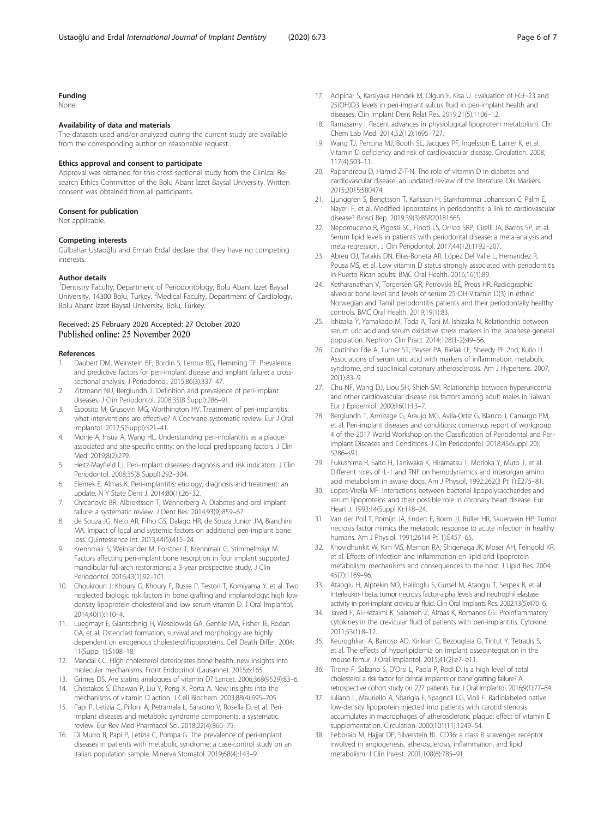#### <span id="page-5-0"></span>Funding

None.

#### Availability of data and materials

The datasets used and/or analyzed during the current study are available from the corresponding author on reasonable request.

#### Ethics approval and consent to participate

Approval was obtained for this cross-sectional study from the Clinical Research Ethics Committee of the Bolu Abant İzzet Baysal University. Written consent was obtained from all participants.

#### Consent for publication

Not applicable.

#### Competing interests

Gülbahar Ustaoğlu and Emrah Erdal declare that they have no competing interests.

#### Author details

<sup>1</sup> Dentistry Faculty, Department of Periodontology, Bolu Abant İzzet Baysal University, 14300 Bolu, Turkey. <sup>2</sup>Medical Faculty, Department of Cardiology, Bolu Abant İzzet Baysal University, Bolu, Turkey.

#### Received: 25 February 2020 Accepted: 27 October 2020 Published online: 25 November 2020

#### References

- 1. Daubert DM, Weinstein BF, Bordin S, Leroux BG, Flemming TF. Prevalence and predictive factors for peri-implant disease and implant failure: a crosssectional analysis. J Periodontol. 2015;86(3):337–47.
- 2. Zitzmann NU, Berglundh T. Definition and prevalence of peri-implant diseases. J Clin Periodontol. 2008;35(8 Suppl):286–91.
- 3. Esposito M, Grusovin MG, Worthington HV. Treatment of peri-implantitis: what interventions are effective? A Cochrane systematic review. Eur J Oral Implantol. 2012;5(Suppl):S21–41.
- 4. Monje A, Insua A, Wang HL. Understanding peri-implantitis as a plaqueassociated and site-specific entity: on the local predisposing factors. J Clin Med. 2019;8(2):279.
- 5. Heitz-Mayfield LJ. Peri-implant diseases: diagnosis and risk indicators. J Clin Periodontol. 2008;35(8 Suppl):292–304.
- 6. Elemek E, Almas K. Peri-implantitis: etiology, diagnosis and treatment: an update. N Y State Dent J. 2014;80(1):26–32.
- 7. Chrcanovic BR, Albrektsson T, Wennerberg A. Diabetes and oral implant failure: a systematic review. J Dent Res. 2014;93(9):859–67.
- de Souza JG, Neto AR, Filho GS, Dalago HR, de Souza Junior JM, Bianchini MA. Impact of local and systemic factors on additional peri-implant bone loss. Quintessence Int. 2013;44(5):415–24.
- 9. Krennmair S, Weinlander M, Forstner T, Krennmair G, Stimmelmayr M. Factors affecting peri-implant bone resorption in four implant supported mandibular full-arch restorations: a 3-year prospective study. J Clin Periodontol. 2016;43(1):92–101.
- 10. Choukroun J, Khoury G, Khoury F, Russe P, Testori T, Komiyama Y, et al. Two neglected biologic risk factors in bone grafting and implantology: high lowdensity lipoprotein cholesterol and low serum vitamin D. J Oral Implantol. 2014;40(1):110–4.
- 11. Luegmayr E, Glantschnig H, Wesolowski GA, Gentile MA, Fisher JE, Rodan GA, et al. Osteoclast formation, survival and morphology are highly dependent on exogenous cholesterol/lipoproteins. Cell Death Differ. 2004; 11(Suppl 1):S108–18.
- 12. Mandal CC. High cholesterol deteriorates bone health: new insights into molecular mechanisms. Front Endocrinol (Lausanne). 2015;6:165.
- 13. Grimes DS. Are statins analogues of vitamin D? Lancet. 2006;368(9529):83–6. 14. Christakos S, Dhawan P, Liu Y, Peng X, Porta A. New insights into the
- mechanisms of vitamin D action. J Cell Biochem. 2003;88(4):695–705. 15. Papi P, Letizia C, Pilloni A, Petramala L, Saracino V, Rosella D, et al. Periimplant diseases and metabolic syndrome components: a systematic
- review. Eur Rev Med Pharmacol Sci. 2018;22(4):866–75. 16. Di Murro B, Papi P, Letizia C, Pompa G. The prevalence of peri-implant diseases in patients with metabolic syndrome: a case-control study on an Italian population sample. Minerva Stomatol. 2019;68(4):143–9.
- 17. Acipinar S, Karsiyaka Hendek M, Olgun E, Kisa U. Evaluation of FGF-23 and 25(OH)D3 levels in peri-implant sulcus fluid in peri-implant health and diseases. Clin Implant Dent Relat Res. 2019;21(5):1106–12.
- 18. Ramasamy I. Recent advances in physiological lipoprotein metabolism. Clin Chem Lab Med. 2014;52(12):1695–727.
- 19. Wang TJ, Pencina MJ, Booth SL, Jacques PF, Ingelsson E, Lanier K, et al. Vitamin D deficiency and risk of cardiovascular disease. Circulation. 2008; 117(4):503–11.
- 20. Papandreou D, Hamid Z-T-N. The role of vitamin D in diabetes and cardiovascular disease: an updated review of the literature. Dis Markers. 2015;2015:580474.
- 21. Ljunggren S, Bengtsson T, Karlsson H, Starkhammar Johansson C, Palm E, Nayeri F, et al. Modified lipoproteins in periodontitis: a link to cardiovascular disease? Biosci Rep. 2019;39(3):BSR20181665.
- 22. Nepomuceno R, Pigossi SC, Finoti LS, Orrico SRP, Cirelli JA, Barros SP, et al. Serum lipid levels in patients with periodontal disease: a meta-analysis and meta-regression. J Clin Periodontol. 2017;44(12):1192–207.
- 23. Abreu OJ, Tatakis DN, Elias-Boneta AR, López Del Valle L, Hernandez R, Pousa MS, et al. Low vitamin D status strongly associated with periodontitis in Puerto Rican adults. BMC Oral Health. 2016;16(1):89.
- 24. Ketharanathan V, Torgersen GR, Petrovski BÉ, Preus HR. Radiographic alveolar bone level and levels of serum 25-OH-Vitamin D(3) in ethnic Norwegian and Tamil periodontitis patients and their periodontally healthy controls. BMC Oral Health. 2019;19(1):83.
- 25. Ishizaka Y, Yamakado M, Toda A, Tani M, Ishizaka N. Relationship between serum uric acid and serum oxidative stress markers in the Japanese general population. Nephron Clin Pract. 2014;128(1-2):49–56.
- 26. Coutinho Tde A, Turner ST, Peyser PA, Bielak LF, Sheedy PF 2nd, Kullo IJ. Associations of serum uric acid with markers of inflammation, metabolic syndrome, and subclinical coronary atherosclerosis. Am J Hypertens. 2007; 20(1):83–9.
- 27. Chu NF, Wang DJ, Liou SH, Shieh SM. Relationship between hyperuricemia and other cardiovascular disease risk factors among adult males in Taiwan. Eur J Epidemiol. 2000;16(1):13–7.
- 28. Berglundh T, Armitage G, Araujo MG, Avila-Ortiz G, Blanco J, Camargo PM, et al. Peri-implant diseases and conditions: consensus report of workgroup 4 of the 2017 World Workshop on the Classification of Periodontal and Peri-Implant Diseases and Conditions. J Clin Periodontol. 2018;45(Suppl 20): S286–s91.
- 29. Fukushima R, Saito H, Taniwaka K, Hiramatsu T, Morioka Y, Muto T, et al. Different roles of IL-1 and TNF on hemodynamics and interorgan amino acid metabolism in awake dogs. Am J Physiol. 1992;262(3 Pt 1):E275–81.
- Lopes-Virella MF. Interactions between bacterial lipopolysaccharides and serum lipoproteins and their possible role in coronary heart disease. Eur Heart J. 1993;14(Suppl K):118–24.
- 31. Van der Poll T, Romijn JA, Endert E, Borm JJ, Büller HR, Sauerwein HP. Tumor necrosis factor mimics the metabolic response to acute infection in healthy humans. Am J Physiol. 1991;261(4 Pt 1):E457–65.
- 32. Khovidhunkit W, Kim MS, Memon RA, Shigenaga JK, Moser AH, Feingold KR, et al. Effects of infection and inflammation on lipid and lipoprotein metabolism: mechanisms and consequences to the host. J Lipid Res. 2004; 45(7):1169–96.
- 33. Ataoglu H, Alptekin NO, Haliloglu S, Gursel M, Ataoglu T, Serpek B, et al. Interleukin-1beta, tumor necrosis factor-alpha levels and neutrophil elastase activity in peri-implant crevicular fluid. Clin Oral Implants Res. 2002;13(5):470–6.
- 34. Javed F, Al-Hezaimi K, Salameh Z, Almas K, Romanos GE. Proinflammatory cytokines in the crevicular fluid of patients with peri-implantitis. Cytokine. 2011;53(1):8–12.
- 35. Keuroghlian A, Barroso AD, Kirikian G, Bezouglaia O, Tintut Y, Tetradis S, et al. The effects of hyperlipidemia on implant osseointegration in the mouse femur. J Oral Implantol. 2015;41(2):e7–e11.
- 36. Tirone F, Salzano S, D'Orsi L, Paola P, Rodi D. Is a high level of total cholesterol a risk factor for dental implants or bone grafting failure? A retrospective cohort study on 227 patients. Eur J Oral Implantol. 2016;9(1):77–84.
- 37. Iuliano L, Mauriello A, Sbarigia E, Spagnoli LG, Violi F. Radiolabeled native low-density lipoprotein injected into patients with carotid stenosis accumulates in macrophages of atherosclerotic plaque: effect of vitamin E supplementation. Circulation. 2000;101(11):1249–54.
- 38. Febbraio M, Hajjar DP, Silverstein RL. CD36: a class B scavenger receptor involved in angiogenesis, atherosclerosis, inflammation, and lipid metabolism. J Clin Invest. 2001;108(6):785–91.